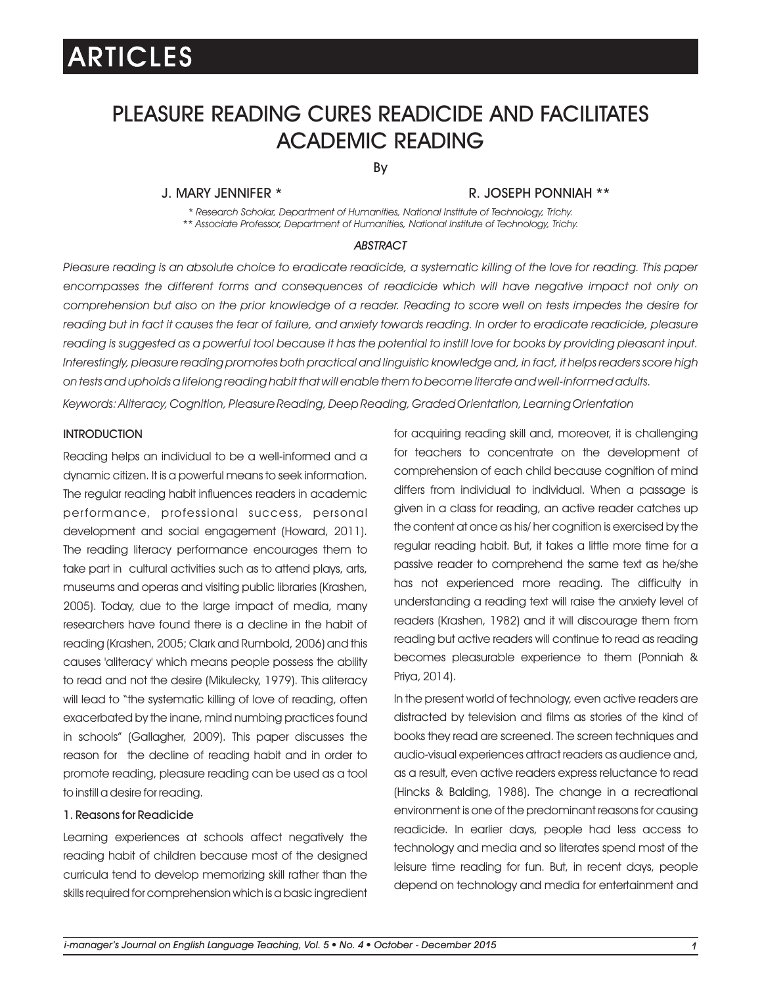## PLEASURE READING CURES READICIDE AND FACILITATES ACADEMIC READING

By

### J. MARY JENNIFER \* R. JOSEPH PONNIAH \*\*

*\* Research Scholar, Department of Humanities, National Institute of Technology, Trichy. \*\* Associate Professor, Department of Humanities, National Institute of Technology, Trichy.*

### *ABSTRACT*

*Pleasure reading is an absolute choice to eradicate readicide, a systematic killing of the love for reading. This paper encompasses the different forms and consequences of readicide which will have negative impact not only on comprehension but also on the prior knowledge of a reader. Reading to score well on tests impedes the desire for*  reading but in fact it causes the fear of failure, and anxiety towards reading. In order to eradicate readicide, pleasure reading is suggested as a powerful tool because it has the potential to instill love for books by providing pleasant input. *Interestingly, pleasure reading promotes both practical and linguistic knowledge and, in fact, it helps readers score high on tests and upholds a lifelong reading habit that will enable them to become literate and well-informed adults. Keywords: Aliteracy, Cognition, Pleasure Reading, Deep Reading, Graded Orientation, Learning Orientation*

#### **INTRODUCTION**

Reading helps an individual to be a well-informed and a dynamic citizen. It is a powerful means to seek information. The regular reading habit influences readers in academic performance, professional success, personal development and social engagement (Howard, 2011). The reading literacy performance encourages them to take part in cultural activities such as to attend plays, arts, museums and operas and visiting public libraries (Krashen, 2005). Today, due to the large impact of media, many researchers have found there is a decline in the habit of reading (Krashen, 2005; Clark and Rumbold, 2006) and this causes 'aliteracy' which means people possess the ability to read and not the desire (Mikulecky, 1979). This aliteracy will lead to "the systematic killing of love of reading, often exacerbated by the inane, mind numbing practices found in schools" (Gallagher, 2009). This paper discusses the reason for the decline of reading habit and in order to promote reading, pleasure reading can be used as a tool to instill a desire for reading.

### 1. Reasons for Readicide

Learning experiences at schools affect negatively the reading habit of children because most of the designed curricula tend to develop memorizing skill rather than the skills required for comprehension which is a basic ingredient for acquiring reading skill and, moreover, it is challenging for teachers to concentrate on the development of comprehension of each child because cognition of mind differs from individual to individual. When a passage is given in a class for reading, an active reader catches up the content at once as his/ her cognition is exercised by the regular reading habit. But, it takes a little more time for a passive reader to comprehend the same text as he/she has not experienced more reading. The difficulty in understanding a reading text will raise the anxiety level of readers (Krashen, 1982) and it will discourage them from reading but active readers will continue to read as reading becomes pleasurable experience to them (Ponniah & Priya, 2014).

In the present world of technology, even active readers are distracted by television and films as stories of the kind of books they read are screened. The screen techniques and audio-visual experiences attract readers as audience and, as a result, even active readers express reluctance to read (Hincks & Balding, 1988). The change in a recreational environment is one of the predominant reasons for causing readicide. In earlier days, people had less access to technology and media and so literates spend most of the leisure time reading for fun. But, in recent days, people depend on technology and media for entertainment and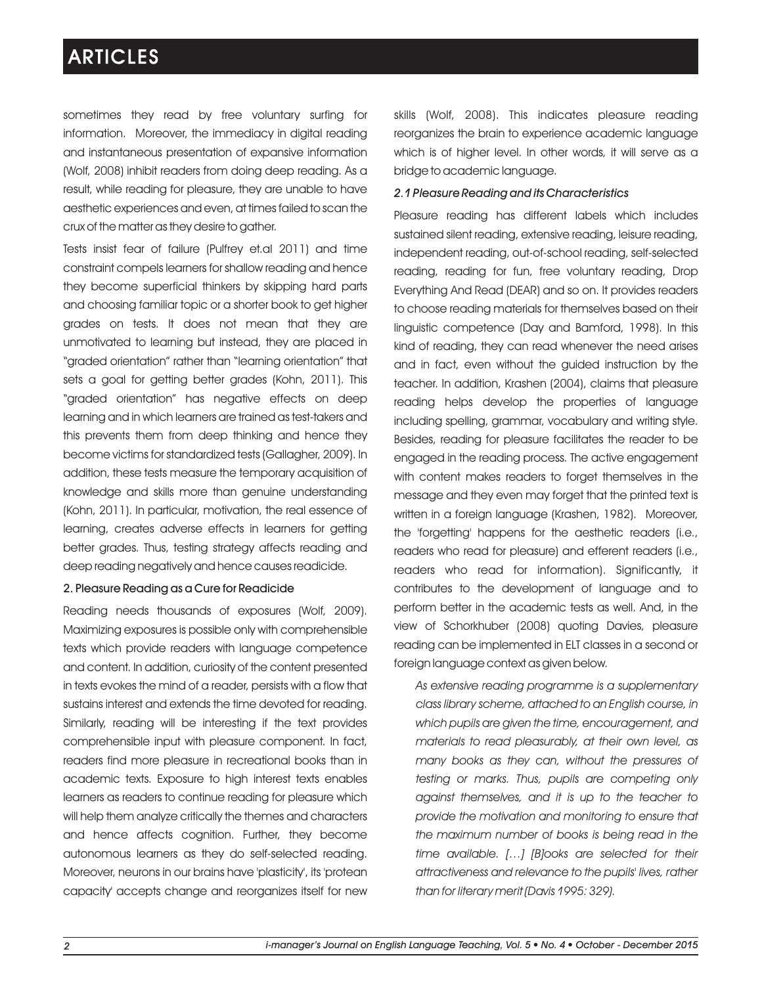sometimes they read by free voluntary surfing for information. Moreover, the immediacy in digital reading and instantaneous presentation of expansive information (Wolf, 2008) inhibit readers from doing deep reading. As a result, while reading for pleasure, they are unable to have aesthetic experiences and even, at times failed to scan the crux of the matter as they desire to gather.

Tests insist fear of failure (Pulfrey et.al 2011) and time constraint compels learners for shallow reading and hence they become superficial thinkers by skipping hard parts and choosing familiar topic or a shorter book to get higher grades on tests. It does not mean that they are unmotivated to learning but instead, they are placed in "graded orientation" rather than "learning orientation" that sets a goal for getting better grades (Kohn, 2011). This "graded orientation" has negative effects on deep learning and in which learners are trained as test-takers and this prevents them from deep thinking and hence they become victims for standardized tests (Gallagher, 2009). In addition, these tests measure the temporary acquisition of knowledge and skills more than genuine understanding (Kohn, 2011). In particular, motivation, the real essence of learning, creates adverse effects in learners for getting better grades. Thus, testing strategy affects reading and deep reading negatively and hence causes readicide.

### 2. Pleasure Reading as a Cure for Readicide

Reading needs thousands of exposures (Wolf, 2009). Maximizing exposures is possible only with comprehensible texts which provide readers with language competence and content. In addition, curiosity of the content presented in texts evokes the mind of a reader, persists with a flow that sustains interest and extends the time devoted for reading. Similarly, reading will be interesting if the text provides comprehensible input with pleasure component. In fact, readers find more pleasure in recreational books than in academic texts. Exposure to high interest texts enables learners as readers to continue reading for pleasure which will help them analyze critically the themes and characters and hence affects cognition. Further, they become autonomous learners as they do self-selected reading. Moreover, neurons in our brains have 'plasticity', its 'protean capacity' accepts change and reorganizes itself for new

skills (Wolf, 2008). This indicates pleasure reading reorganizes the brain to experience academic language which is of higher level. In other words, it will serve as a bridge to academic language.

#### *2.1 Pleasure Reading and its Characteristics*

Pleasure reading has different labels which includes sustained silent reading, extensive reading, leisure reading, independent reading, out-of-school reading, self-selected reading, reading for fun, free voluntary reading, Drop Everything And Read (DEAR) and so on. It provides readers to choose reading materials for themselves based on their linguistic competence (Day and Bamford, 1998). In this kind of reading, they can read whenever the need arises and in fact, even without the guided instruction by the teacher. In addition, Krashen (2004), claims that pleasure reading helps develop the properties of language including spelling, grammar, vocabulary and writing style. Besides, reading for pleasure facilitates the reader to be engaged in the reading process. The active engagement with content makes readers to forget themselves in the message and they even may forget that the printed text is written in a foreign language (Krashen, 1982). Moreover, the 'forgetting' happens for the aesthetic readers (i.e., readers who read for pleasure) and efferent readers (i.e., readers who read for information). Significantly, it contributes to the development of language and to perform better in the academic tests as well. And, in the view of Schorkhuber (2008) quoting Davies, pleasure reading can be implemented in ELT classes in a second or foreign language context as given below.

*As extensive reading programme is a supplementary class library scheme, attached to an English course, in which pupils are given the time, encouragement, and materials to read pleasurably, at their own level, as many books as they can, without the pressures of testing or marks. Thus, pupils are competing only against themselves, and it is up to the teacher to provide the motivation and monitoring to ensure that the maximum number of books is being read in the time available. […] [B]ooks are selected for their attractiveness and relevance to the pupils' lives, rather than for literary merit (Davis 1995: 329).*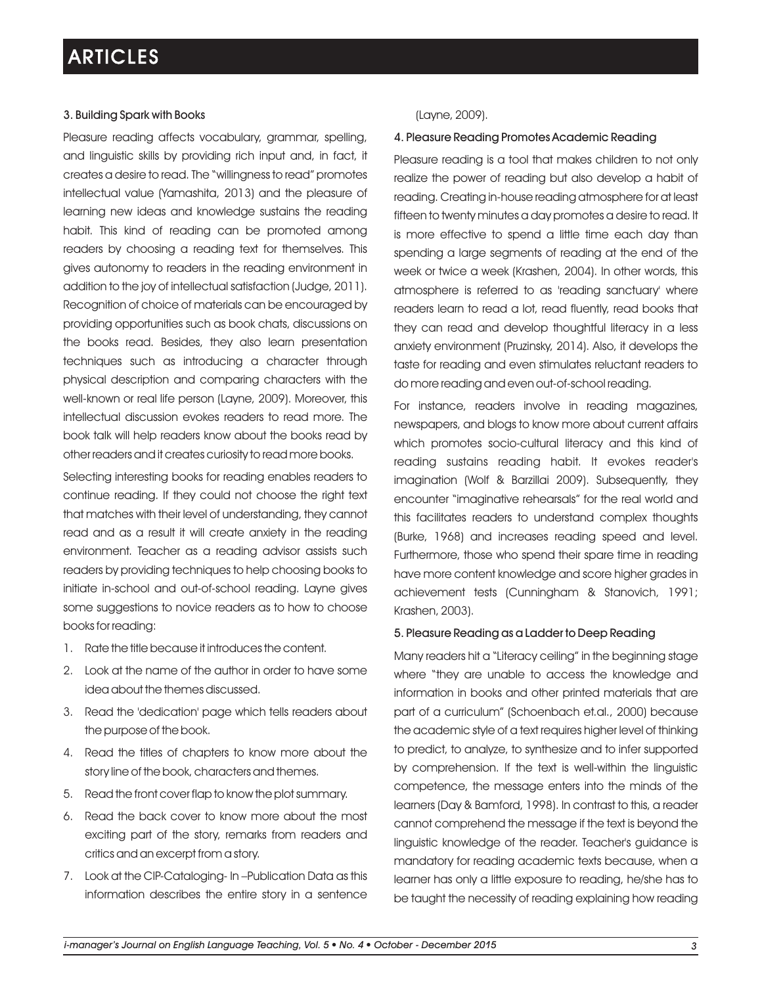### 3. Building Spark with Books

Pleasure reading affects vocabulary, grammar, spelling, and linguistic skills by providing rich input and, in fact, it creates a desire to read. The "willingness to read" promotes intellectual value (Yamashita, 2013) and the pleasure of learning new ideas and knowledge sustains the reading habit. This kind of reading can be promoted among readers by choosing a reading text for themselves. This gives autonomy to readers in the reading environment in addition to the joy of intellectual satisfaction (Judge, 2011). Recognition of choice of materials can be encouraged by providing opportunities such as book chats, discussions on the books read. Besides, they also learn presentation techniques such as introducing a character through physical description and comparing characters with the well-known or real life person (Layne, 2009). Moreover, this intellectual discussion evokes readers to read more. The book talk will help readers know about the books read by other readers and it creates curiosity to read more books.

Selecting interesting books for reading enables readers to continue reading. If they could not choose the right text that matches with their level of understanding, they cannot read and as a result it will create anxiety in the reading environment. Teacher as a reading advisor assists such readers by providing techniques to help choosing books to initiate in-school and out-of-school reading. Layne gives some suggestions to novice readers as to how to choose books for reading:

- 1. Rate the title because it introduces the content.
- 2. Look at the name of the author in order to have some idea about the themes discussed.
- 3. Read the 'dedication' page which tells readers about the purpose of the book.
- 4. Read the titles of chapters to know more about the story line of the book, characters and themes.
- 5. Read the front cover flap to know the plot summary.
- 6. Read the back cover to know more about the most exciting part of the story, remarks from readers and critics and an excerpt from a story.
- 7. Look at the CIP-Cataloging- In –Publication Data as this information describes the entire story in a sentence

### (Layne, 2009).

### 4. Pleasure Reading Promotes Academic Reading

Pleasure reading is a tool that makes children to not only realize the power of reading but also develop a habit of reading. Creating in-house reading atmosphere for at least fifteen to twenty minutes a day promotes a desire to read. It is more effective to spend a little time each day than spending a large segments of reading at the end of the week or twice a week (Krashen, 2004). In other words, this atmosphere is referred to as 'reading sanctuary' where readers learn to read a lot, read fluently, read books that they can read and develop thoughtful literacy in a less anxiety environment (Pruzinsky, 2014). Also, it develops the taste for reading and even stimulates reluctant readers to do more reading and even out-of-school reading.

For instance, readers involve in reading magazines, newspapers, and blogs to know more about current affairs which promotes socio-cultural literacy and this kind of reading sustains reading habit. It evokes reader's imagination (Wolf & Barzillai 2009). Subsequently, they encounter "imaginative rehearsals" for the real world and this facilitates readers to understand complex thoughts (Burke, 1968) and increases reading speed and level. Furthermore, those who spend their spare time in reading have more content knowledge and score higher grades in achievement tests (Cunningham & Stanovich, 1991; Krashen, 2003).

#### 5. Pleasure Reading as a Ladder to Deep Reading

Many readers hit a "Literacy ceiling" in the beginning stage where "they are unable to access the knowledge and information in books and other printed materials that are part of a curriculum" (Schoenbach et.al., 2000) because the academic style of a text requires higher level of thinking to predict, to analyze, to synthesize and to infer supported by comprehension. If the text is well-within the linguistic competence, the message enters into the minds of the learners (Day & Bamford, 1998). In contrast to this, a reader cannot comprehend the message if the text is beyond the linguistic knowledge of the reader. Teacher's guidance is mandatory for reading academic texts because, when a learner has only a little exposure to reading, he/she has to be taught the necessity of reading explaining how reading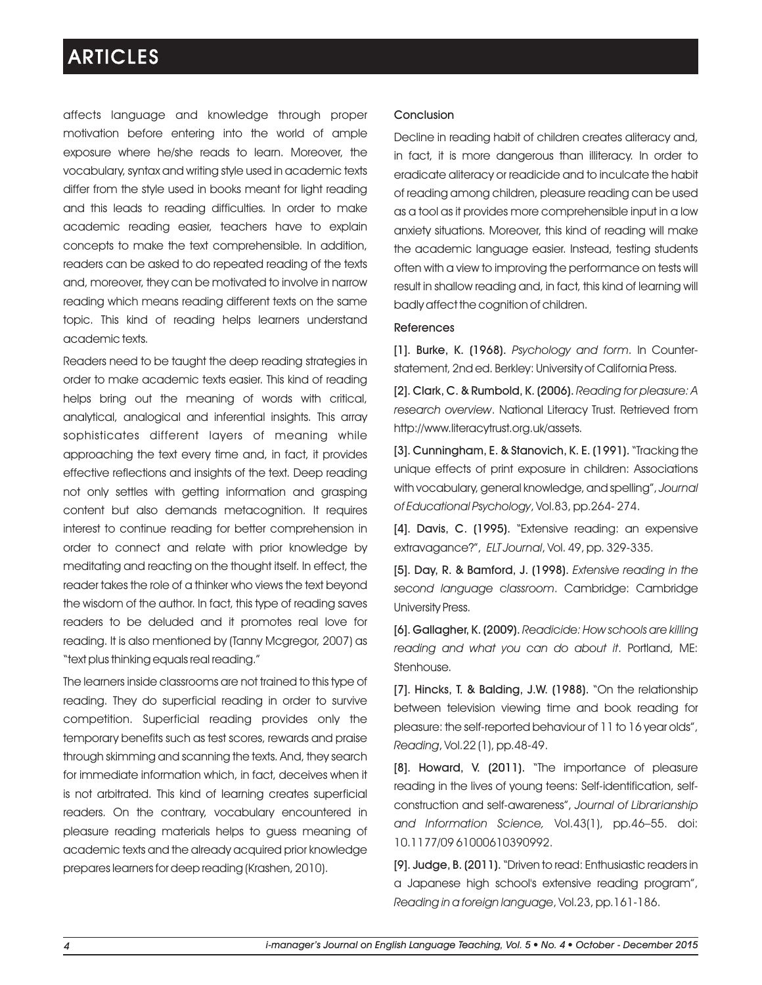affects language and knowledge through proper motivation before entering into the world of ample exposure where he/she reads to learn. Moreover, the vocabulary, syntax and writing style used in academic texts differ from the style used in books meant for light reading and this leads to reading difficulties. In order to make academic reading easier, teachers have to explain concepts to make the text comprehensible. In addition, readers can be asked to do repeated reading of the texts and, moreover, they can be motivated to involve in narrow reading which means reading different texts on the same topic. This kind of reading helps learners understand academic texts.

Readers need to be taught the deep reading strategies in order to make academic texts easier. This kind of reading helps bring out the meaning of words with critical, analytical, analogical and inferential insights. This array sophisticates different layers of meaning while approaching the text every time and, in fact, it provides effective reflections and insights of the text. Deep reading not only settles with getting information and grasping content but also demands metacognition. It requires interest to continue reading for better comprehension in order to connect and relate with prior knowledge by meditating and reacting on the thought itself. In effect, the reader takes the role of a thinker who views the text beyond the wisdom of the author. In fact, this type of reading saves readers to be deluded and it promotes real love for reading. It is also mentioned by (Tanny Mcgregor, 2007) as "text plus thinking equals real reading."

The learners inside classrooms are not trained to this type of reading. They do superficial reading in order to survive competition. Superficial reading provides only the temporary benefits such as test scores, rewards and praise through skimming and scanning the texts. And, they search for immediate information which, in fact, deceives when it is not arbitrated. This kind of learning creates superficial readers. On the contrary, vocabulary encountered in pleasure reading materials helps to guess meaning of academic texts and the already acquired prior knowledge prepares learners for deep reading (Krashen, 2010).

### Conclusion

Decline in reading habit of children creates aliteracy and, in fact, it is more dangerous than illiteracy. In order to eradicate aliteracy or readicide and to inculcate the habit of reading among children, pleasure reading can be used as a tool as it provides more comprehensible input in a low anxiety situations. Moreover, this kind of reading will make the academic language easier. Instead, testing students often with a view to improving the performance on tests will result in shallow reading and, in fact, this kind of learning will badly affect the cognition of children.

#### References

[1]. Burke, K. (1968). *Psychology and form*. In Counterstatement, 2nd ed. Berkley: University of California Press.

[2]. Clark, C. & Rumbold, K. (2006). *Reading for pleasure: A research overview*. National Literacy Trust. Retrieved from http://www.literacytrust.org.uk/assets.

[3]. Cunningham, E. & Stanovich, K. E. (1991). "Tracking the unique effects of print exposure in children: Associations with vocabulary, general knowledge, and spelling", *Journal of Educational Psychology*, Vol.83, pp.264- 274.

[4]. Davis, C. (1995). "Extensive reading: an expensive extravagance?", *ELT Journal*, Vol. 49, pp. 329-335.

[5]. Day, R. & Bamford, J. (1998). *Extensive reading in the second language classroom*. Cambridge: Cambridge University Press.

[6]. Gallagher, K. (2009). *Readicide: How schools are killing reading and what you can do about it*. Portland, ME: Stenhouse.

[7]. Hincks, T. & Balding, J.W. (1988). "On the relationship between television viewing time and book reading for pleasure: the self-reported behaviour of 11 to 16 year olds", *Reading*, Vol.22 (1), pp.48-49.

[8]. Howard, V. (2011). "The importance of pleasure reading in the lives of young teens: Self-identification, selfconstruction and self-awareness", *Journal of Librarianship and Information Science,* Vol.43(1), pp.46–55. doi: 10.1177/09 61000610390992.

[9]. Judge, B. (2011). "Driven to read: Enthusiastic readers in a Japanese high school's extensive reading program", *Reading in a foreign language*, Vol.23, pp.161-186.